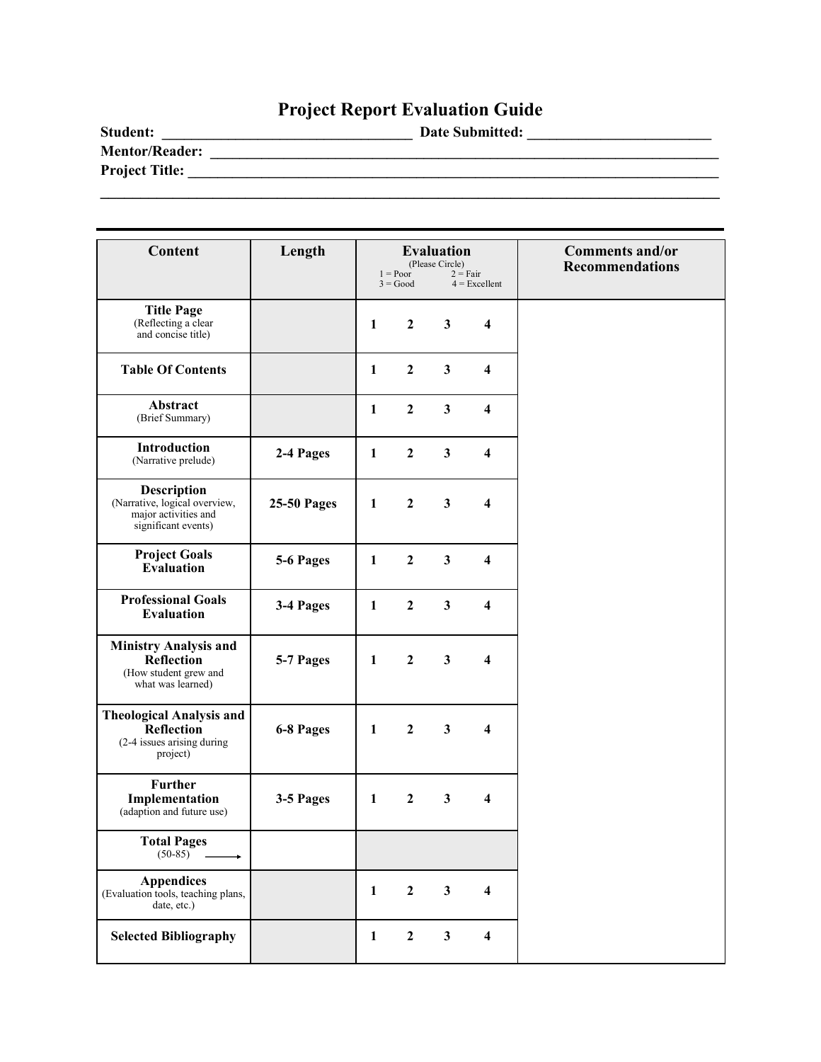# **Project Report Evaluation Guide**

| <b>Student:</b>       | <b>Date Submitted:</b> |
|-----------------------|------------------------|
| <b>Mentor/Reader:</b> |                        |
| <b>Project Title:</b> |                        |
|                       |                        |

| <b>Content</b>                                                                                     | Length             |              | $1 = Poor$<br>$3 = Good$ | <b>Evaluation</b><br>(Please Circle) | $2 = Fair$<br>$4$ = Excellent | <b>Comments and/or</b><br><b>Recommendations</b> |
|----------------------------------------------------------------------------------------------------|--------------------|--------------|--------------------------|--------------------------------------|-------------------------------|--------------------------------------------------|
| <b>Title Page</b><br>(Reflecting a clear<br>and concise title)                                     |                    | $\mathbf{1}$ | $\overline{2}$           | $\mathbf{3}$                         | $\overline{\mathbf{4}}$       |                                                  |
| <b>Table Of Contents</b>                                                                           |                    | $\mathbf{1}$ | $\overline{2}$           | $\overline{\mathbf{3}}$              | $\overline{\mathbf{4}}$       |                                                  |
| Abstract<br>(Brief Summary)                                                                        |                    | $\mathbf{1}$ | $\overline{2}$           | $\overline{\mathbf{3}}$              | $\overline{\mathbf{4}}$       |                                                  |
| Introduction<br>(Narrative prelude)                                                                | 2-4 Pages          | $\mathbf{1}$ | $\overline{2}$           | $\overline{\mathbf{3}}$              | $\overline{\mathbf{4}}$       |                                                  |
| <b>Description</b><br>(Narrative, logical overview,<br>major activities and<br>significant events) | <b>25-50 Pages</b> | $\mathbf{1}$ | $\overline{2}$           | $\mathbf{3}$                         | $\overline{\mathbf{4}}$       |                                                  |
| <b>Project Goals</b><br><b>Evaluation</b>                                                          | 5-6 Pages          | $\mathbf{1}$ | $\overline{2}$           | $\overline{\mathbf{3}}$              | $\overline{\mathbf{4}}$       |                                                  |
| <b>Professional Goals</b><br><b>Evaluation</b>                                                     | 3-4 Pages          | $\mathbf{1}$ | $\overline{2}$           | $\overline{\mathbf{3}}$              | $\overline{\mathbf{4}}$       |                                                  |
| <b>Ministry Analysis and</b><br>Reflection<br>(How student grew and<br>what was learned)           | 5-7 Pages          | $\mathbf{1}$ | $\overline{2}$           | $\overline{\mathbf{3}}$              | $\overline{\mathbf{4}}$       |                                                  |
| <b>Theological Analysis and</b><br>Reflection<br>(2-4 issues arising during<br>project)            | 6-8 Pages          | $\mathbf{1}$ | $\overline{2}$           | $\mathbf{3}$                         | $\overline{\mathbf{4}}$       |                                                  |
| <b>Further</b><br>Implementation<br>(adaption and future use)                                      | 3-5 Pages          | $\mathbf{1}$ | $\overline{2}$           | $\mathbf{3}$                         | $\overline{\mathbf{4}}$       |                                                  |
| <b>Total Pages</b><br>$(50-85)$                                                                    |                    |              |                          |                                      |                               |                                                  |
| <b>Appendices</b><br>(Evaluation tools, teaching plans,<br>date, etc.)                             |                    | $\mathbf{1}$ | $\overline{2}$           | $\mathbf{3}$                         | $\overline{\mathbf{4}}$       |                                                  |
| <b>Selected Bibliography</b>                                                                       |                    | $\mathbf{1}$ | $\boldsymbol{2}$         | $\mathbf{3}$                         | $\overline{\mathbf{4}}$       |                                                  |